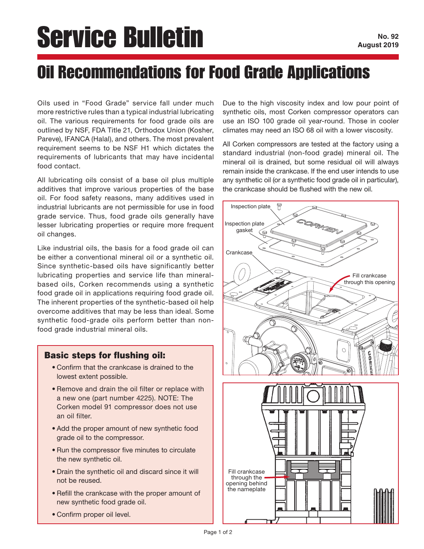## Service Bulletin

## Oil Recommendations for Food Grade Applications

Oils used in "Food Grade" service fall under much more restrictive rules than a typical industrial lubricating oil. The various requirements for food grade oils are outlined by NSF, FDA Title 21, Orthodox Union (Kosher, Pareve), IFANCA (Halal), and others. The most prevalent requirement seems to be NSF H1 which dictates the requirements of lubricants that may have incidental food contact.

All lubricating oils consist of a base oil plus multiple additives that improve various properties of the base oil. For food safety reasons, many additives used in industrial lubricants are not permissible for use in food grade service. Thus, food grade oils generally have lesser lubricating properties or require more frequent oil changes.

Like industrial oils, the basis for a food grade oil can be either a conventional mineral oil or a synthetic oil. Since synthetic-based oils have significantly better lubricating properties and service life than mineralbased oils, Corken recommends using a synthetic food grade oil in applications requiring food grade oil. The inherent properties of the synthetic-based oil help overcome additives that may be less than ideal. Some synthetic food-grade oils perform better than nonfood grade industrial mineral oils.

## Basic steps for flushing oil:

- Confirm that the crankcase is drained to the lowest extent possible.
- Remove and drain the oil filter or replace with a new one (part number 4225). NOTE: The Corken model 91 compressor does not use an oil filter.
- Add the proper amount of new synthetic food grade oil to the compressor.
- Run the compressor five minutes to circulate the new synthetic oil.
- Drain the synthetic oil and discard since it will not be reused.
- Refill the crankcase with the proper amount of new synthetic food grade oil.
- Confirm proper oil level.

Due to the high viscosity index and low pour point of synthetic oils, most Corken compressor operators can use an ISO 100 grade oil year-round. Those in cooler climates may need an ISO 68 oil with a lower viscosity.

All Corken compressors are tested at the factory using a standard industrial (non-food grade) mineral oil. The mineral oil is drained, but some residual oil will always remain inside the crankcase. If the end user intends to use any synthetic oil (or a synthetic food grade oil in particular), the crankcase should be flushed with the new oil.